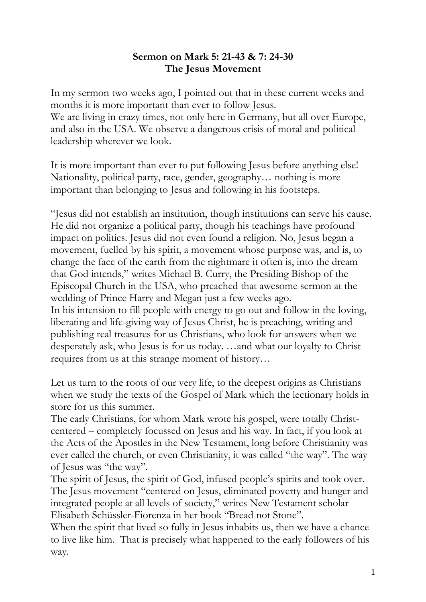## **Sermon on Mark 5: 21-43 & 7: 24-30 The Jesus Movement**

In my sermon two weeks ago, I pointed out that in these current weeks and months it is more important than ever to follow Jesus. We are living in crazy times, not only here in Germany, but all over Europe, and also in the USA. We observe a dangerous crisis of moral and political leadership wherever we look.

It is more important than ever to put following Jesus before anything else! Nationality, political party, race, gender, geography… nothing is more important than belonging to Jesus and following in his footsteps.

"Jesus did not establish an institution, though institutions can serve his cause. He did not organize a political party, though his teachings have profound impact on politics. Jesus did not even found a religion. No, Jesus began a movement, fuelled by his spirit, a movement whose purpose was, and is, to change the face of the earth from the nightmare it often is, into the dream that God intends," writes Michael B. Curry, the Presiding Bishop of the Episcopal Church in the USA, who preached that awesome sermon at the wedding of Prince Harry and Megan just a few weeks ago. In his intension to fill people with energy to go out and follow in the loving, liberating and life-giving way of Jesus Christ, he is preaching, writing and publishing real treasures for us Christians, who look for answers when we desperately ask, who Jesus is for us today. …and what our loyalty to Christ requires from us at this strange moment of history…

Let us turn to the roots of our very life, to the deepest origins as Christians when we study the texts of the Gospel of Mark which the lectionary holds in store for us this summer.

The early Christians, for whom Mark wrote his gospel, were totally Christcentered – completely focussed on Jesus and his way. In fact, if you look at the Acts of the Apostles in the New Testament, long before Christianity was ever called the church, or even Christianity, it was called "the way". The way of Jesus was "the way".

The spirit of Jesus, the spirit of God, infused people's spirits and took over. The Jesus movement "centered on Jesus, eliminated poverty and hunger and integrated people at all levels of society," writes New Testament scholar Elisabeth Schüssler-Fiorenza in her book "Bread not Stone".

When the spirit that lived so fully in Jesus inhabits us, then we have a chance to live like him. That is precisely what happened to the early followers of his way.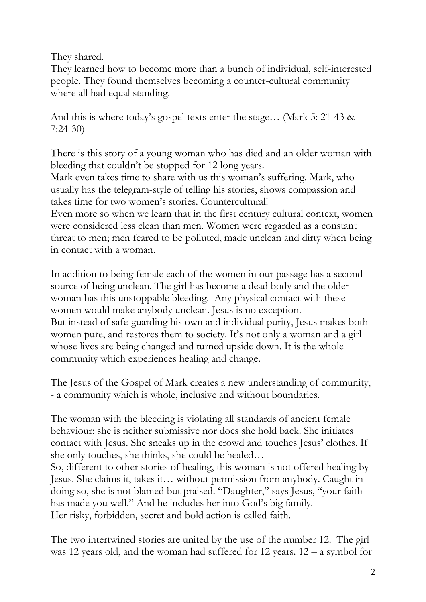They shared.

They learned how to become more than a bunch of individual, self-interested people. They found themselves becoming a counter-cultural community where all had equal standing.

And this is where today's gospel texts enter the stage… (Mark 5: 21-43 & 7:24-30)

There is this story of a young woman who has died and an older woman with bleeding that couldn't be stopped for 12 long years.

Mark even takes time to share with us this woman's suffering. Mark, who usually has the telegram-style of telling his stories, shows compassion and takes time for two women's stories. Countercultural!

Even more so when we learn that in the first century cultural context, women were considered less clean than men. Women were regarded as a constant threat to men; men feared to be polluted, made unclean and dirty when being in contact with a woman.

In addition to being female each of the women in our passage has a second source of being unclean. The girl has become a dead body and the older woman has this unstoppable bleeding. Any physical contact with these women would make anybody unclean. Jesus is no exception. But instead of safe-guarding his own and individual purity, Jesus makes both women pure, and restores them to society. It's not only a woman and a girl whose lives are being changed and turned upside down. It is the whole community which experiences healing and change.

The Jesus of the Gospel of Mark creates a new understanding of community, - a community which is whole, inclusive and without boundaries.

The woman with the bleeding is violating all standards of ancient female behaviour: she is neither submissive nor does she hold back. She initiates contact with Jesus. She sneaks up in the crowd and touches Jesus' clothes. If she only touches, she thinks, she could be healed…

So, different to other stories of healing, this woman is not offered healing by Jesus. She claims it, takes it… without permission from anybody. Caught in doing so, she is not blamed but praised. "Daughter," says Jesus, "your faith has made you well." And he includes her into God's big family. Her risky, forbidden, secret and bold action is called faith.

The two intertwined stories are united by the use of the number 12. The girl was 12 years old, and the woman had suffered for 12 years. 12 – a symbol for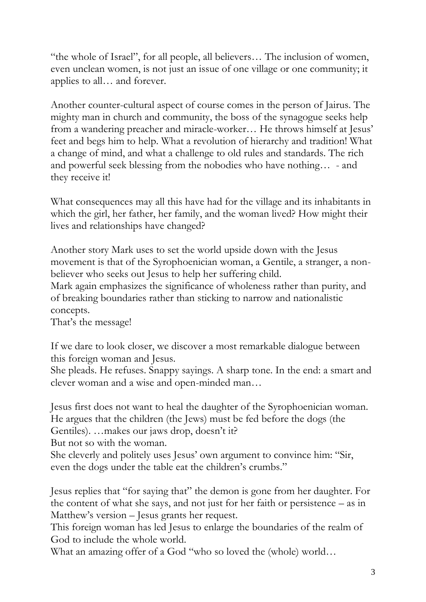"the whole of Israel", for all people, all believers… The inclusion of women, even unclean women, is not just an issue of one village or one community; it applies to all… and forever.

Another counter-cultural aspect of course comes in the person of Jairus. The mighty man in church and community, the boss of the synagogue seeks help from a wandering preacher and miracle-worker… He throws himself at Jesus' feet and begs him to help. What a revolution of hierarchy and tradition! What a change of mind, and what a challenge to old rules and standards. The rich and powerful seek blessing from the nobodies who have nothing… - and they receive it!

What consequences may all this have had for the village and its inhabitants in which the girl, her father, her family, and the woman lived? How might their lives and relationships have changed?

Another story Mark uses to set the world upside down with the Jesus movement is that of the Syrophoenician woman, a Gentile, a stranger, a nonbeliever who seeks out Jesus to help her suffering child.

Mark again emphasizes the significance of wholeness rather than purity, and of breaking boundaries rather than sticking to narrow and nationalistic concepts.

That's the message!

If we dare to look closer, we discover a most remarkable dialogue between this foreign woman and Jesus.

She pleads. He refuses. Snappy sayings. A sharp tone. In the end: a smart and clever woman and a wise and open-minded man…

Jesus first does not want to heal the daughter of the Syrophoenician woman. He argues that the children (the Jews) must be fed before the dogs (the Gentiles). …makes our jaws drop, doesn't it?

But not so with the woman.

She cleverly and politely uses Jesus' own argument to convince him: "Sir, even the dogs under the table eat the children's crumbs."

Jesus replies that "for saying that" the demon is gone from her daughter. For the content of what she says, and not just for her faith or persistence – as in Matthew's version – Jesus grants her request.

This foreign woman has led Jesus to enlarge the boundaries of the realm of God to include the whole world.

What an amazing offer of a God "who so loved the (whole) world…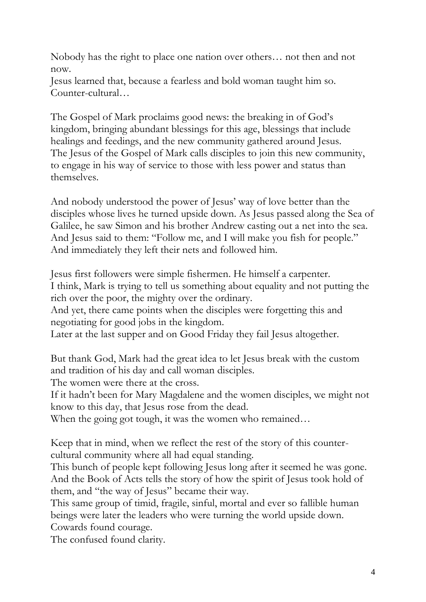Nobody has the right to place one nation over others… not then and not now.

Jesus learned that, because a fearless and bold woman taught him so. Counter-cultural…

The Gospel of Mark proclaims good news: the breaking in of God's kingdom, bringing abundant blessings for this age, blessings that include healings and feedings, and the new community gathered around Jesus. The Jesus of the Gospel of Mark calls disciples to join this new community, to engage in his way of service to those with less power and status than themselves.

And nobody understood the power of Jesus' way of love better than the disciples whose lives he turned upside down. As Jesus passed along the Sea of Galilee, he saw Simon and his brother Andrew casting out a net into the sea. And Jesus said to them: "Follow me, and I will make you fish for people." And immediately they left their nets and followed him.

Jesus first followers were simple fishermen. He himself a carpenter. I think, Mark is trying to tell us something about equality and not putting the rich over the poor, the mighty over the ordinary.

And yet, there came points when the disciples were forgetting this and negotiating for good jobs in the kingdom.

Later at the last supper and on Good Friday they fail Jesus altogether.

But thank God, Mark had the great idea to let Jesus break with the custom and tradition of his day and call woman disciples.

The women were there at the cross.

If it hadn't been for Mary Magdalene and the women disciples, we might not know to this day, that Jesus rose from the dead.

When the going got tough, it was the women who remained...

Keep that in mind, when we reflect the rest of the story of this countercultural community where all had equal standing.

This bunch of people kept following Jesus long after it seemed he was gone. And the Book of Acts tells the story of how the spirit of Jesus took hold of them, and "the way of Jesus" became their way.

This same group of timid, fragile, sinful, mortal and ever so fallible human beings were later the leaders who were turning the world upside down. Cowards found courage.

The confused found clarity.